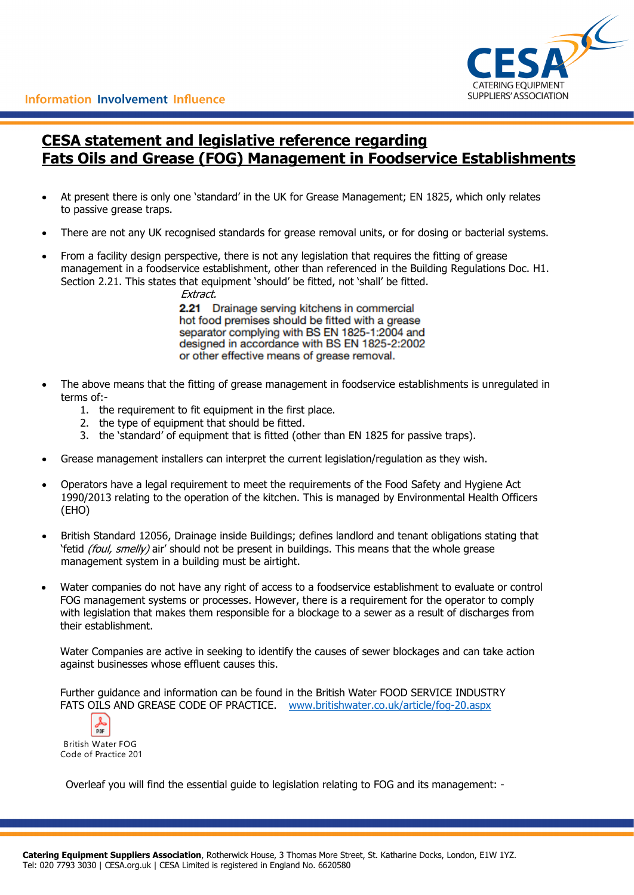

# **CESA statement and legislative reference regarding Fats Oils and Grease (FOG) Management in Foodservice Establishments**

- At present there is only one 'standard' in the UK for Grease Management; EN 1825, which only relates to passive grease traps.
- There are not any UK recognised standards for grease removal units, or for dosing or bacterial systems.
- From a facility design perspective, there is not any legislation that requires the fitting of grease management in a foodservice establishment, other than referenced in the Building Regulations Doc. H1. Section 2.21. This states that equipment 'should' be fitted, not 'shall' be fitted.

Extract.

2.21 Drainage serving kitchens in commercial hot food premises should be fitted with a grease separator complying with BS EN 1825-1:2004 and designed in accordance with BS EN 1825-2:2002 or other effective means of grease removal.

- The above means that the fitting of grease management in foodservice establishments is unregulated in terms of:-
	- 1. the requirement to fit equipment in the first place.
	- 2. the type of equipment that should be fitted.
	- 3. the 'standard' of equipment that is fitted (other than EN 1825 for passive traps).
- Grease management installers can interpret the current legislation/regulation as they wish.
- Operators have a legal requirement to meet the requirements of the Food Safety and Hygiene Act 1990/2013 relating to the operation of the kitchen. This is managed by Environmental Health Officers (EHO)
- British Standard 12056, Drainage inside Buildings; defines landlord and tenant obligations stating that 'fetid *(foul, smelly)* air' should not be present in buildings. This means that the whole grease management system in a building must be airtight.
- Water companies do not have any right of access to a foodservice establishment to evaluate or control FOG management systems or processes. However, there is a requirement for the operator to comply with legislation that makes them responsible for a blockage to a sewer as a result of discharges from their establishment.

Water Companies are active in seeking to identify the causes of sewer blockages and can take action against businesses whose effluent causes this.

Further guidance and information can be found in the British Water FOOD SERVICE INDUSTRY FATS OILS AND GREASE CODE OF PRACTICE. [www.britishwater.co.uk/article/fog-20.aspx](http://www.britishwater.co.uk/article/fog-20.aspx)

 $rac{1}{2}$ British Water FOG Code of Practice 201

Overleaf you will find the essential guide to legislation relating to FOG and its management: -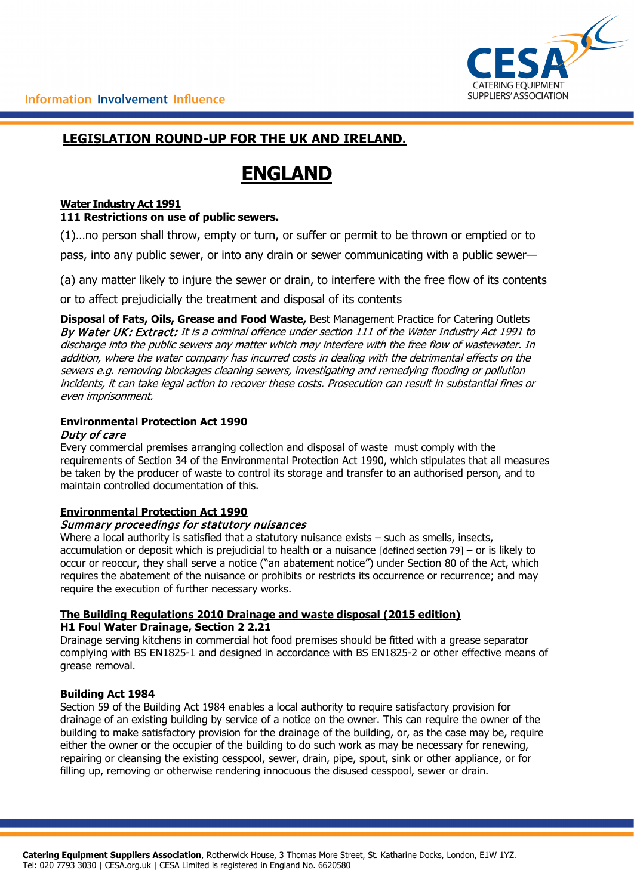

# **LEGISLATION ROUND-UP FOR THE UK AND IRELAND.**

# **ENGLAND**

# **Water Industry Act 1991**

## **111 Restrictions on use of public sewers.**

(1)…no person shall throw, empty or turn, or suffer or permit to be thrown or emptied or to

pass, into any public sewer, or into any drain or sewer communicating with a public sewer—

(a) any matter likely to injure the sewer or drain, to interfere with the free flow of its contents

or to affect prejudicially the treatment and disposal of its contents

**Disposal of Fats, Oils, Grease and Food Waste,** Best Management Practice for Catering Outlets By Water UK: Extract: It is a criminal offence under section 111 of the Water Industry Act 1991 to discharge into the public sewers any matter which may interfere with the free flow of wastewater. In addition, where the water company has incurred costs in dealing with the detrimental effects on the sewers e.g. removing blockages cleaning sewers, investigating and remedying flooding or pollution incidents, it can take legal action to recover these costs. Prosecution can result in substantial fines or even imprisonment.

## **Environmental Protection Act 1990**

## Duty of care

Every commercial premises arranging collection and disposal of waste must comply with the requirements of Section 34 of the Environmental Protection Act 1990, which stipulates that all measures be taken by the producer of waste to control its storage and transfer to an authorised person, and to maintain controlled documentation of this.

## **Environmental Protection Act 1990**

## Summary proceedings for statutory nuisances

Where a local authority is satisfied that a statutory nuisance exists – such as smells, insects, accumulation or deposit which is prejudicial to health or a nuisance [defined section 79] – or is likely to occur or reoccur, they shall serve a notice ("an abatement notice") under Section 80 of the Act, which requires the abatement of the nuisance or prohibits or restricts its occurrence or recurrence; and may require the execution of further necessary works.

## **The Building Regulations 2010 Drainage and waste disposal (2015 edition) H1 Foul Water Drainage, Section 2 2.21**

Drainage serving kitchens in commercial hot food premises should be fitted with a grease separator complying with BS EN1825-1 and designed in accordance with BS EN1825-2 or other effective means of grease removal.

## **Building Act 1984**

Section 59 of the Building Act 1984 enables a local authority to require satisfactory provision for drainage of an existing building by service of a notice on the owner. This can require the owner of the building to make satisfactory provision for the drainage of the building, or, as the case may be, require either the owner or the occupier of the building to do such work as may be necessary for renewing, repairing or cleansing the existing cesspool, sewer, drain, pipe, spout, sink or other appliance, or for filling up, removing or otherwise rendering innocuous the disused cesspool, sewer or drain.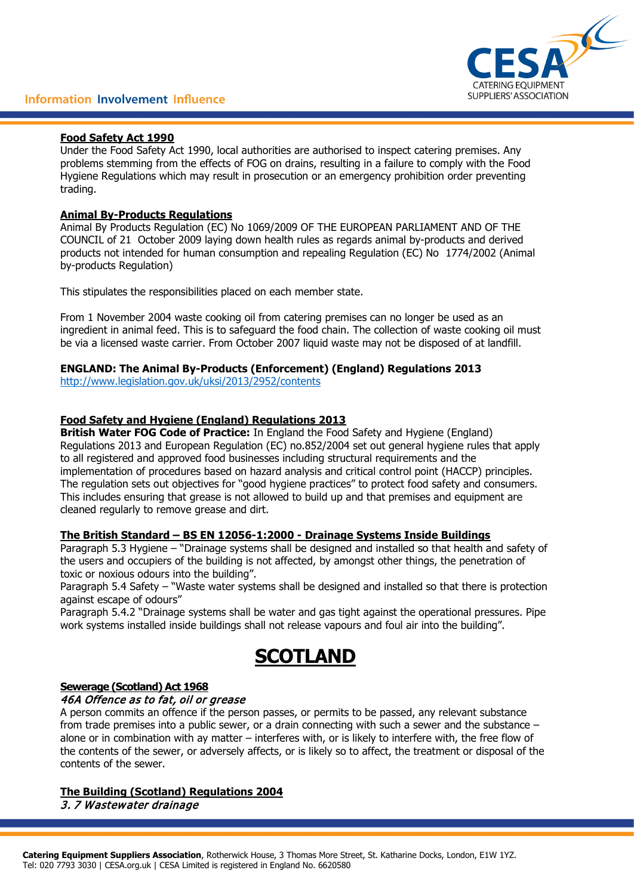

### **Food Safety Act 1990**

Under the Food Safety Act 1990, local authorities are authorised to inspect catering premises. Any problems stemming from the effects of FOG on drains, resulting in a failure to comply with the Food Hygiene Regulations which may result in prosecution or an emergency prohibition order preventing trading.

### **Animal By-Products Regulations**

Animal By Products Regulation (EC) No 1069/2009 OF THE EUROPEAN PARLIAMENT AND OF THE COUNCIL of 21 October 2009 laying down health rules as regards animal by-products and derived products not intended for human consumption and repealing Regulation (EC) No 1774/2002 (Animal by-products Regulation)

This stipulates the responsibilities placed on each member state.

From 1 November 2004 waste cooking oil from catering premises can no longer be used as an ingredient in animal feed. This is to safeguard the food chain. The collection of waste cooking oil must be via a licensed waste carrier. From October 2007 liquid waste may not be disposed of at landfill.

## **ENGLAND: The Animal By-Products (Enforcement) (England) Regulations 2013**

<http://www.legislation.gov.uk/uksi/2013/2952/contents>

## **Food Safety and Hygiene (England) Regulations 2013**

**British Water FOG Code of Practice:** In England the Food Safety and Hygiene (England) Regulations 2013 and European Regulation (EC) no.852/2004 set out general hygiene rules that apply to all registered and approved food businesses including structural requirements and the implementation of procedures based on hazard analysis and critical control point (HACCP) principles. The regulation sets out objectives for "good hygiene practices" to protect food safety and consumers. This includes ensuring that grease is not allowed to build up and that premises and equipment are cleaned regularly to remove grease and dirt.

#### **The British Standard – BS EN 12056-1:2000 - Drainage Systems Inside Buildings**

Paragraph 5.3 Hygiene – "Drainage systems shall be designed and installed so that health and safety of the users and occupiers of the building is not affected, by amongst other things, the penetration of toxic or noxious odours into the building".

Paragraph 5.4 Safety – "Waste water systems shall be designed and installed so that there is protection against escape of odours"

Paragraph 5.4.2 "Drainage systems shall be water and gas tight against the operational pressures. Pipe work systems installed inside buildings shall not release vapours and foul air into the building".

# **SCOTLAND**

#### **Sewerage (Scotland) Act 1968** 46A Offence as to fat, oil or grease

A person commits an offence if the person passes, or permits to be passed, any relevant substance from trade premises into a public sewer, or a drain connecting with such a sewer and the substance – alone or in combination with ay matter – interferes with, or is likely to interfere with, the free flow of the contents of the sewer, or adversely affects, or is likely so to affect, the treatment or disposal of the contents of the sewer.

#### **The Building (Scotland) Regulations 2004** 3. 7 Wastewater drainage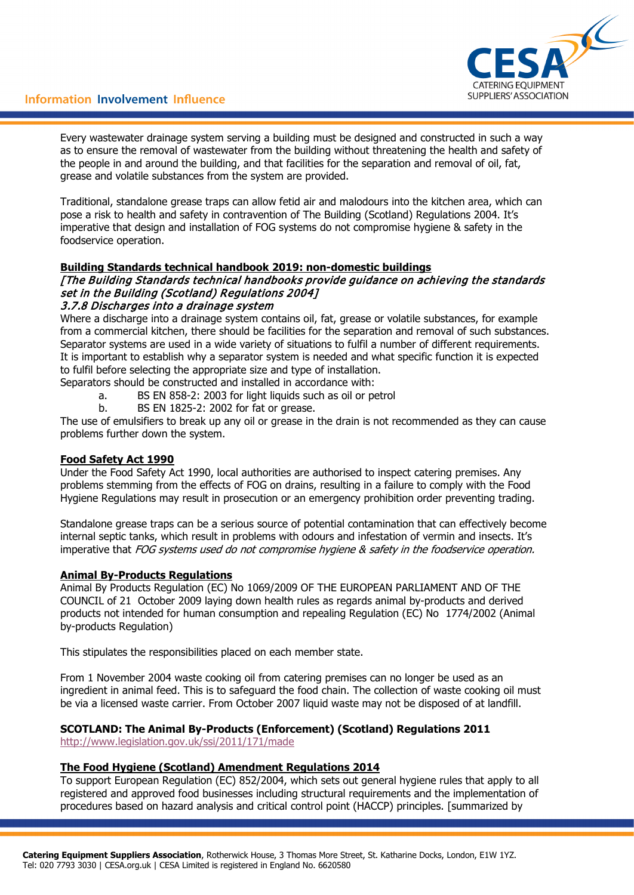

Every wastewater drainage system serving a building must be designed and constructed in such a way as to ensure the removal of wastewater from the building without threatening the health and safety of the people in and around the building, and that facilities for the separation and removal of oil, fat, grease and volatile substances from the system are provided.

Traditional, standalone grease traps can allow fetid air and malodours into the kitchen area, which can pose a risk to health and safety in contravention of The Building (Scotland) Regulations 2004. It's imperative that design and installation of FOG systems do not compromise hygiene & safety in the foodservice operation.

## **Building Standards technical handbook 2019: non-domestic buildings**

## [The Building Standards technical handbooks provide guidance on achieving the standards set in the Building (Scotland) Regulations 2004]

#### 3.7.8 Discharges into a drainage system

Where a discharge into a drainage system contains oil, fat, grease or volatile substances, for example from a commercial kitchen, there should be facilities for the separation and removal of such substances. Separator systems are used in a wide variety of situations to fulfil a number of different requirements. It is important to establish why a separator system is needed and what specific function it is expected to fulfil before selecting the appropriate size and type of installation.

Separators should be constructed and installed in accordance with:

- a. BS EN 858-2: 2003 for light liquids such as oil or petrol
- b. BS EN 1825-2: 2002 for fat or grease.

The use of emulsifiers to break up any oil or grease in the drain is not recommended as they can cause problems further down the system.

#### **Food Safety Act 1990**

Under the Food Safety Act 1990, local authorities are authorised to inspect catering premises. Any problems stemming from the effects of FOG on drains, resulting in a failure to comply with the Food Hygiene Regulations may result in prosecution or an emergency prohibition order preventing trading.

Standalone grease traps can be a serious source of potential contamination that can effectively become internal septic tanks, which result in problems with odours and infestation of vermin and insects. It's imperative that FOG systems used do not compromise hygiene & safety in the foodservice operation.

#### **Animal By-Products Regulations**

Animal By Products Regulation (EC) No 1069/2009 OF THE EUROPEAN PARLIAMENT AND OF THE COUNCIL of 21 October 2009 laying down health rules as regards animal by-products and derived products not intended for human consumption and repealing Regulation (EC) No 1774/2002 (Animal by-products Regulation)

This stipulates the responsibilities placed on each member state.

From 1 November 2004 waste cooking oil from catering premises can no longer be used as an ingredient in animal feed. This is to safeguard the food chain. The collection of waste cooking oil must be via a licensed waste carrier. From October 2007 liquid waste may not be disposed of at landfill.

#### **SCOTLAND: The Animal By-Products (Enforcement) (Scotland) Regulations 2011** <http://www.legislation.gov.uk/ssi/2011/171/made>

#### **The Food Hygiene (Scotland) Amendment Regulations 2014**

To support European Regulation (EC) 852/2004, which sets out general hygiene rules that apply to all registered and approved food businesses including structural requirements and the implementation of procedures based on hazard analysis and critical control point (HACCP) principles. [summarized by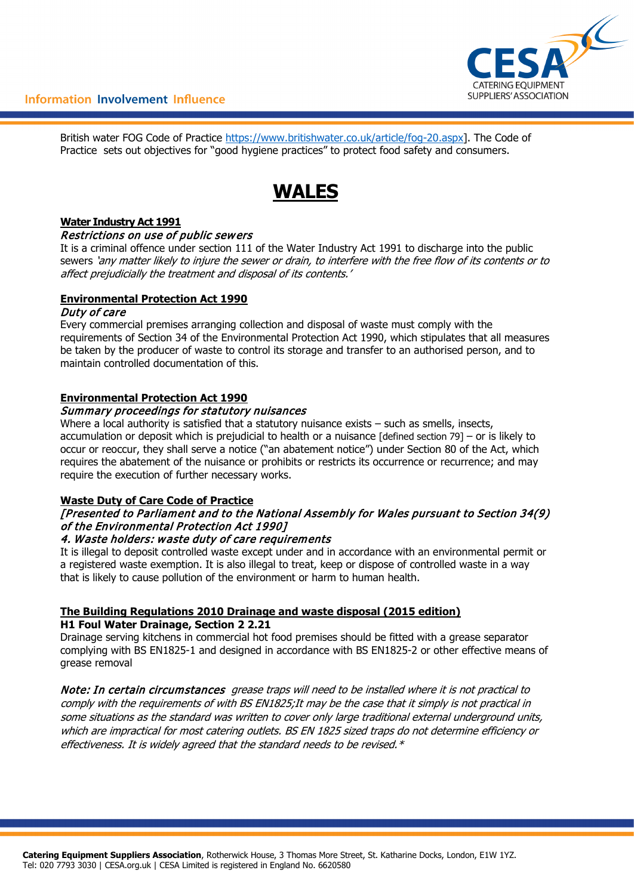

British water FOG Code of Practice [https://www.britishwater.co.uk/article/fog-20.aspx\]](https://www.britishwater.co.uk/article/fog-20.aspx). The Code of Practice sets out objectives for "good hygiene practices" to protect food safety and consumers.

# **WALES**

#### **Water Industry Act 1991**

#### Restrictions on use of public sewers

It is a criminal offence under section 111 of the Water Industry Act 1991 to discharge into the public sewers 'any matter likely to injure the sewer or drain, to interfere with the free flow of its contents or to affect prejudicially the treatment and disposal of its contents.'

## **Environmental Protection Act 1990**

#### Duty of care

Every commercial premises arranging collection and disposal of waste must comply with the requirements of Section 34 of the Environmental Protection Act 1990, which stipulates that all measures be taken by the producer of waste to control its storage and transfer to an authorised person, and to maintain controlled documentation of this.

## **Environmental Protection Act 1990**

#### Summary proceedings for statutory nuisances

Where a local authority is satisfied that a statutory nuisance exists  $-$  such as smells, insects, accumulation or deposit which is prejudicial to health or a nuisance [defined section 79] – or is likely to occur or reoccur, they shall serve a notice ("an abatement notice") under Section 80 of the Act, which requires the abatement of the nuisance or prohibits or restricts its occurrence or recurrence; and may require the execution of further necessary works.

#### **Waste Duty of Care Code of Practice**

## [Presented to Parliament and to the National Assembly for Wales pursuant to Section 34(9) of the Environmental Protection Act 1990]

#### 4. Waste holders: waste duty of care requirements

It is illegal to deposit controlled waste except under and in accordance with an environmental permit or a registered waste exemption. It is also illegal to treat, keep or dispose of controlled waste in a way that is likely to cause pollution of the environment or harm to human health.

#### **The Building Regulations 2010 Drainage and waste disposal (2015 edition) H1 Foul Water Drainage, Section 2 2.21**

Drainage serving kitchens in commercial hot food premises should be fitted with a grease separator complying with BS EN1825-1 and designed in accordance with BS EN1825-2 or other effective means of grease removal

Note: In certain circumstances grease traps will need to be installed where it is not practical to comply with the requirements of with BS EN1825;It may be the case that it simply is not practical in some situations as the standard was written to cover only large traditional external underground units, which are impractical for most catering outlets. BS EN 1825 sized traps do not determine efficiency or effectiveness. It is widely agreed that the standard needs to be revised. $*$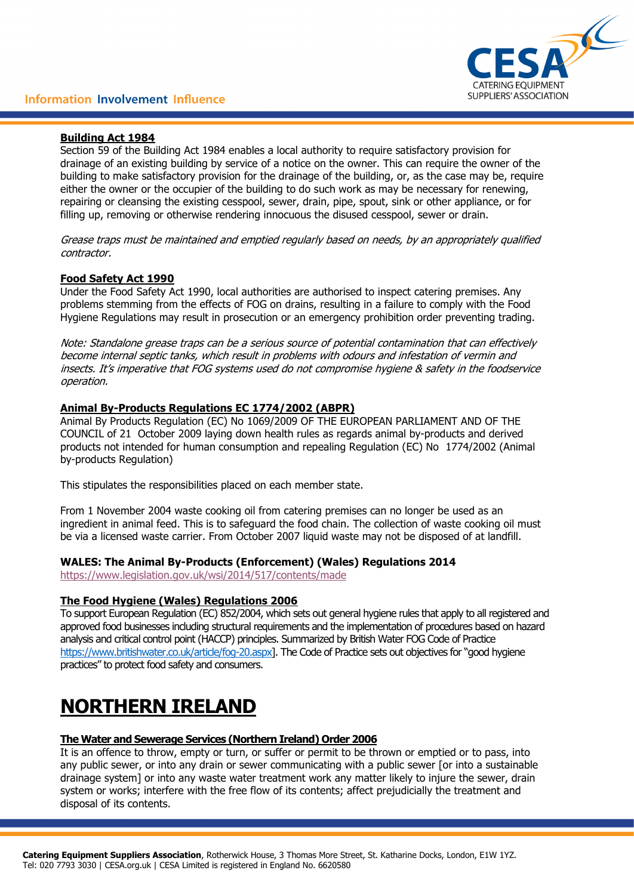#### **Building Act 1984**

Section 59 of the Building Act 1984 enables a local authority to require satisfactory provision for drainage of an existing building by service of a notice on the owner. This can require the owner of the building to make satisfactory provision for the drainage of the building, or, as the case may be, require either the owner or the occupier of the building to do such work as may be necessary for renewing, repairing or cleansing the existing cesspool, sewer, drain, pipe, spout, sink or other appliance, or for filling up, removing or otherwise rendering innocuous the disused cesspool, sewer or drain.

Grease traps must be maintained and emptied regularly based on needs, by an appropriately qualified contractor.

## **Food Safety Act 1990**

Under the Food Safety Act 1990, local authorities are authorised to inspect catering premises. Any problems stemming from the effects of FOG on drains, resulting in a failure to comply with the Food Hygiene Regulations may result in prosecution or an emergency prohibition order preventing trading.

Note: Standalone grease traps can be a serious source of potential contamination that can effectively become internal septic tanks, which result in problems with odours and infestation of vermin and insects. It's imperative that FOG systems used do not compromise hygiene & safety in the foodservice operation.

#### **Animal By-Products Regulations EC 1774/2002 (ABPR)**

Animal By Products Regulation (EC) No 1069/2009 OF THE EUROPEAN PARLIAMENT AND OF THE COUNCIL of 21 October 2009 laying down health rules as regards animal by-products and derived products not intended for human consumption and repealing Regulation (EC) No 1774/2002 (Animal by-products Regulation)

This stipulates the responsibilities placed on each member state.

From 1 November 2004 waste cooking oil from catering premises can no longer be used as an ingredient in animal feed. This is to safeguard the food chain. The collection of waste cooking oil must be via a licensed waste carrier. From October 2007 liquid waste may not be disposed of at landfill.

#### **WALES: The Animal By-Products (Enforcement) (Wales) Regulations 2014**

<https://www.legislation.gov.uk/wsi/2014/517/contents/made>

#### **The Food Hygiene (Wales) Regulations 2006**

To support European Regulation (EC) 852/2004, which sets out general hygiene rules that apply to all registered and approved food businesses including structural requirements and the implementation of procedures based on hazard analysis and critical control point (HACCP) principles. Summarized by British Water FOG Code of Practice [https://www.britishwater.co.uk/article/fog-20.aspx\]](https://www.britishwater.co.uk/article/fog-20.aspx). The Code of Practice sets out objectives for "good hygiene practices" to protect food safety and consumers.

# **NORTHERN IRELAND**

#### **The Water and Sewerage Services (Northern Ireland) Order 2006**

It is an offence to throw, empty or turn, or suffer or permit to be thrown or emptied or to pass, into any public sewer, or into any drain or sewer communicating with a public sewer [or into a sustainable drainage system] or into any waste water treatment work any matter likely to injure the sewer, drain system or works; interfere with the free flow of its contents; affect prejudicially the treatment and disposal of its contents.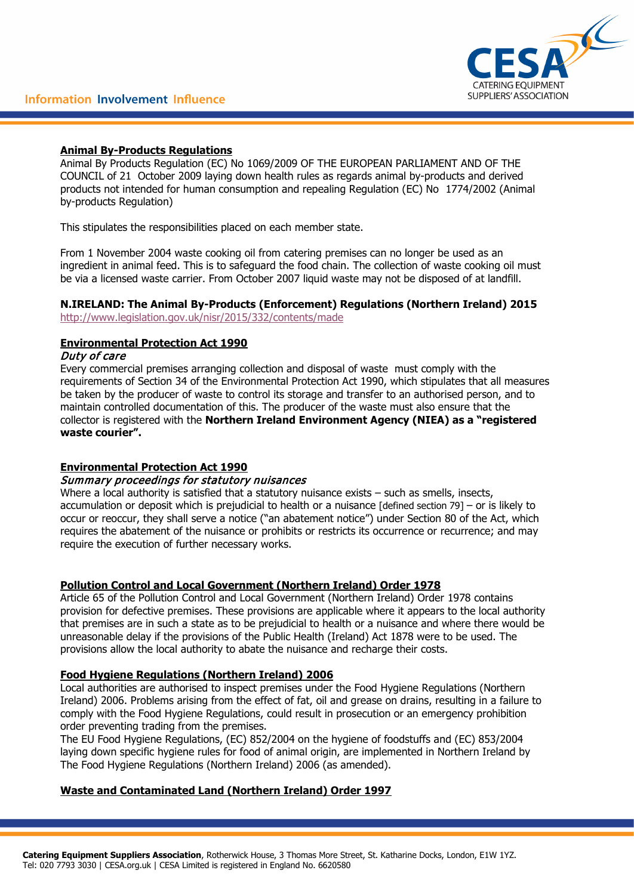

## **Animal By-Products Regulations**

Animal By Products Regulation (EC) No 1069/2009 OF THE EUROPEAN PARLIAMENT AND OF THE COUNCIL of 21 October 2009 laying down health rules as regards animal by-products and derived products not intended for human consumption and repealing Regulation (EC) No 1774/2002 (Animal by-products Regulation)

This stipulates the responsibilities placed on each member state.

From 1 November 2004 waste cooking oil from catering premises can no longer be used as an ingredient in animal feed. This is to safeguard the food chain. The collection of waste cooking oil must be via a licensed waste carrier. From October 2007 liquid waste may not be disposed of at landfill.

# **N.IRELAND: The Animal By-Products (Enforcement) Regulations (Northern Ireland) 2015**

<http://www.legislation.gov.uk/nisr/2015/332/contents/made>

# **Environmental Protection Act 1990**

## Duty of care

Every commercial premises arranging collection and disposal of waste must comply with the requirements of Section 34 of the Environmental Protection Act 1990, which stipulates that all measures be taken by the producer of waste to control its storage and transfer to an authorised person, and to maintain controlled documentation of this. The producer of the waste must also ensure that the collector is registered with the **Northern Ireland Environment Agency (NIEA) as a "registered waste courier".** 

# **Environmental Protection Act 1990**

## Summary proceedings for statutory nuisances

Where a local authority is satisfied that a statutory nuisance exists – such as smells, insects, accumulation or deposit which is prejudicial to health or a nuisance [defined section 79] – or is likely to occur or reoccur, they shall serve a notice ("an abatement notice") under Section 80 of the Act, which requires the abatement of the nuisance or prohibits or restricts its occurrence or recurrence; and may require the execution of further necessary works.

# **Pollution Control and Local Government (Northern Ireland) Order 1978**

Article 65 of the Pollution Control and Local Government (Northern Ireland) Order 1978 contains provision for defective premises. These provisions are applicable where it appears to the local authority that premises are in such a state as to be prejudicial to health or a nuisance and where there would be unreasonable delay if the provisions of the Public Health (Ireland) Act 1878 were to be used. The provisions allow the local authority to abate the nuisance and recharge their costs.

# **Food Hygiene Regulations (Northern Ireland) 2006**

Local authorities are authorised to inspect premises under the Food Hygiene Regulations (Northern Ireland) 2006. Problems arising from the effect of fat, oil and grease on drains, resulting in a failure to comply with the Food Hygiene Regulations, could result in prosecution or an emergency prohibition order preventing trading from the premises.

The EU Food Hygiene Regulations, (EC) 852/2004 on the hygiene of foodstuffs and (EC) 853/2004 laying down specific hygiene rules for food of animal origin, are implemented in Northern Ireland by The Food Hygiene Regulations (Northern Ireland) 2006 (as amended).

# **Waste and Contaminated Land (Northern Ireland) Order 1997**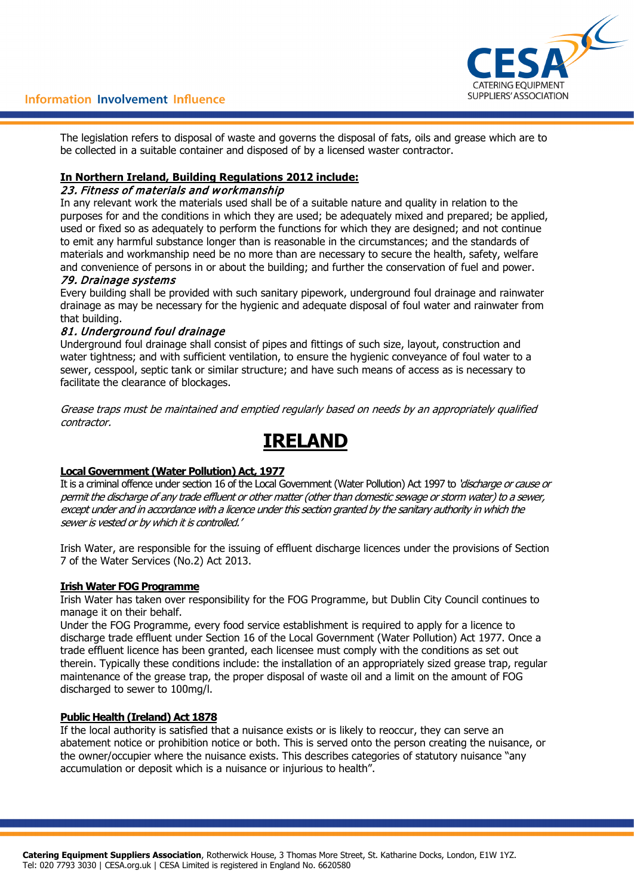

## Information Involvement Influence

The legislation refers to disposal of waste and governs the disposal of fats, oils and grease which are to be collected in a suitable container and disposed of by a licensed waster contractor.

#### **In Northern Ireland, Building Regulations 2012 include:**

## 23. Fitness of materials and workmanship

In any relevant work the materials used shall be of a suitable nature and quality in relation to the purposes for and the conditions in which they are used; be adequately mixed and prepared; be applied, used or fixed so as adequately to perform the functions for which they are designed; and not continue to emit any harmful substance longer than is reasonable in the circumstances; and the standards of materials and workmanship need be no more than are necessary to secure the health, safety, welfare and convenience of persons in or about the building; and further the conservation of fuel and power.

#### 79. Drainage systems

Every building shall be provided with such sanitary pipework, underground foul drainage and rainwater drainage as may be necessary for the hygienic and adequate disposal of foul water and rainwater from that building.

#### 81. Underground foul drainage

Underground foul drainage shall consist of pipes and fittings of such size, layout, construction and water tightness; and with sufficient ventilation, to ensure the hygienic conveyance of foul water to a sewer, cesspool, septic tank or similar structure; and have such means of access as is necessary to facilitate the clearance of blockages.

Grease traps must be maintained and emptied regularly based on needs by an appropriately qualified contractor.

# **IRELAND**

## **Local Government (Water Pollution) Act, 1977**

It is a criminal offence under section 16 of the Local Government (Water Pollution) Act 1997 to 'discharge or cause or permit the discharge of any trade effluent or other matter (other than domestic sewage or storm water) to a sewer, except under and in accordance with a licence under this section granted by the sanitary authority in which the sewer is vested or by which it is controlled.'

Irish Water, are responsible for the issuing of effluent discharge licences under the provisions of Section 7 of the Water Services (No.2) Act 2013.

#### **Irish Water FOG Programme**

Irish Water has taken over responsibility for the FOG Programme, but Dublin City Council continues to manage it on their behalf.

Under the FOG Programme, every food service establishment is required to apply for a licence to discharge trade effluent under Section 16 of the Local Government (Water Pollution) Act 1977. Once a trade effluent licence has been granted, each licensee must comply with the conditions as set out therein. Typically these conditions include: the installation of an appropriately sized grease trap, regular maintenance of the grease trap, the proper disposal of waste oil and a limit on the amount of FOG discharged to sewer to 100mg/l.

#### **Public Health (Ireland) Act 1878**

If the local authority is satisfied that a nuisance exists or is likely to reoccur, they can serve an abatement notice or prohibition notice or both. This is served onto the person creating the nuisance, or the owner/occupier where the nuisance exists. This describes categories of statutory nuisance "any accumulation or deposit which is a nuisance or injurious to health".